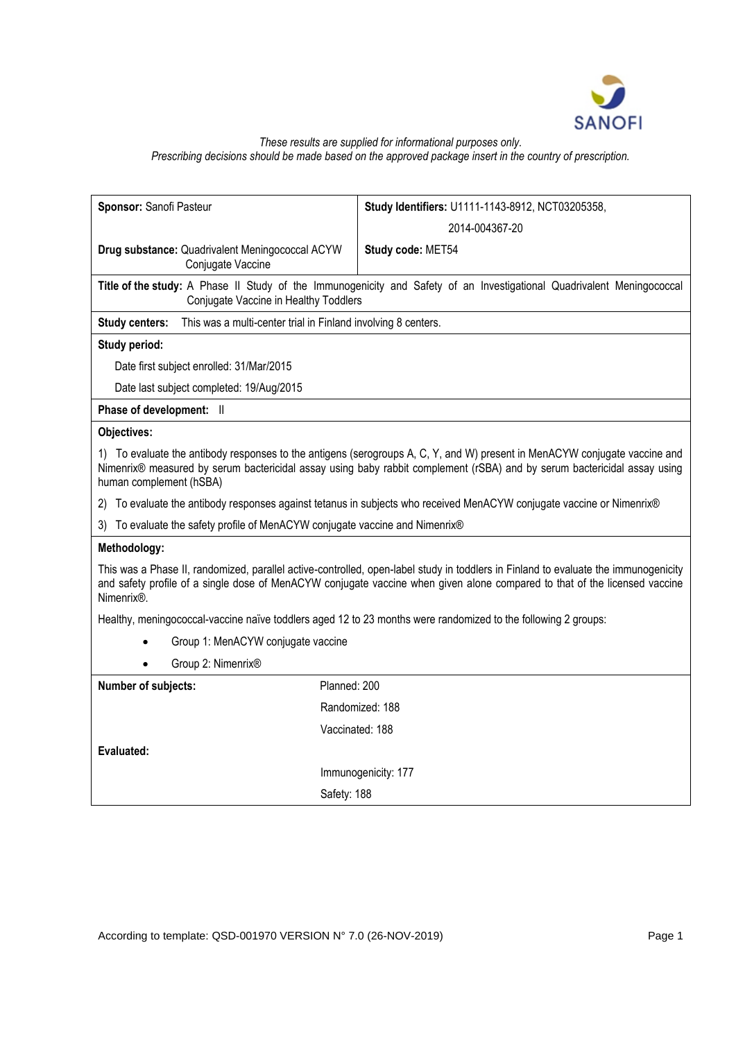

# *These results are supplied for informational purposes only. Prescribing decisions should be made based on the approved package insert in the country of prescription.*

| Sponsor: Sanofi Pasteur                                                                                                                                                                                                                                                                      | Study Identifiers: U1111-1143-8912, NCT03205358, |
|----------------------------------------------------------------------------------------------------------------------------------------------------------------------------------------------------------------------------------------------------------------------------------------------|--------------------------------------------------|
|                                                                                                                                                                                                                                                                                              | 2014-004367-20                                   |
| Drug substance: Quadrivalent Meningococcal ACYW<br>Conjugate Vaccine                                                                                                                                                                                                                         | Study code: MET54                                |
| Title of the study: A Phase II Study of the Immunogenicity and Safety of an Investigational Quadrivalent Meningococcal<br>Conjugate Vaccine in Healthy Toddlers                                                                                                                              |                                                  |
| This was a multi-center trial in Finland involving 8 centers.<br><b>Study centers:</b>                                                                                                                                                                                                       |                                                  |
| Study period:                                                                                                                                                                                                                                                                                |                                                  |
| Date first subject enrolled: 31/Mar/2015                                                                                                                                                                                                                                                     |                                                  |
| Date last subject completed: 19/Aug/2015                                                                                                                                                                                                                                                     |                                                  |
| Phase of development: II                                                                                                                                                                                                                                                                     |                                                  |
| Objectives:                                                                                                                                                                                                                                                                                  |                                                  |
| 1) To evaluate the antibody responses to the antigens (serogroups A, C, Y, and W) present in MenACYW conjugate vaccine and<br>Nimenrix® measured by serum bactericidal assay using baby rabbit complement (rSBA) and by serum bactericidal assay using<br>human complement (hSBA)            |                                                  |
| 2) To evaluate the antibody responses against tetanus in subjects who received MenACYW conjugate vaccine or Nimenrix®                                                                                                                                                                        |                                                  |
| 3) To evaluate the safety profile of MenACYW conjugate vaccine and Nimenrix®                                                                                                                                                                                                                 |                                                  |
| Methodology:                                                                                                                                                                                                                                                                                 |                                                  |
| This was a Phase II, randomized, parallel active-controlled, open-label study in toddlers in Finland to evaluate the immunogenicity<br>and safety profile of a single dose of MenACYW conjugate vaccine when given alone compared to that of the licensed vaccine<br>Nimenrix <sup>®</sup> . |                                                  |
| Healthy, meningococcal-vaccine naïve toddlers aged 12 to 23 months were randomized to the following 2 groups:                                                                                                                                                                                |                                                  |
| Group 1: MenACYW conjugate vaccine                                                                                                                                                                                                                                                           |                                                  |
| Group 2: Nimenrix®                                                                                                                                                                                                                                                                           |                                                  |
| Planned: 200<br>Number of subjects:                                                                                                                                                                                                                                                          |                                                  |
|                                                                                                                                                                                                                                                                                              | Randomized: 188                                  |
|                                                                                                                                                                                                                                                                                              | Vaccinated: 188                                  |
| Evaluated:                                                                                                                                                                                                                                                                                   |                                                  |
|                                                                                                                                                                                                                                                                                              | Immunogenicity: 177                              |
| Safety: 188                                                                                                                                                                                                                                                                                  |                                                  |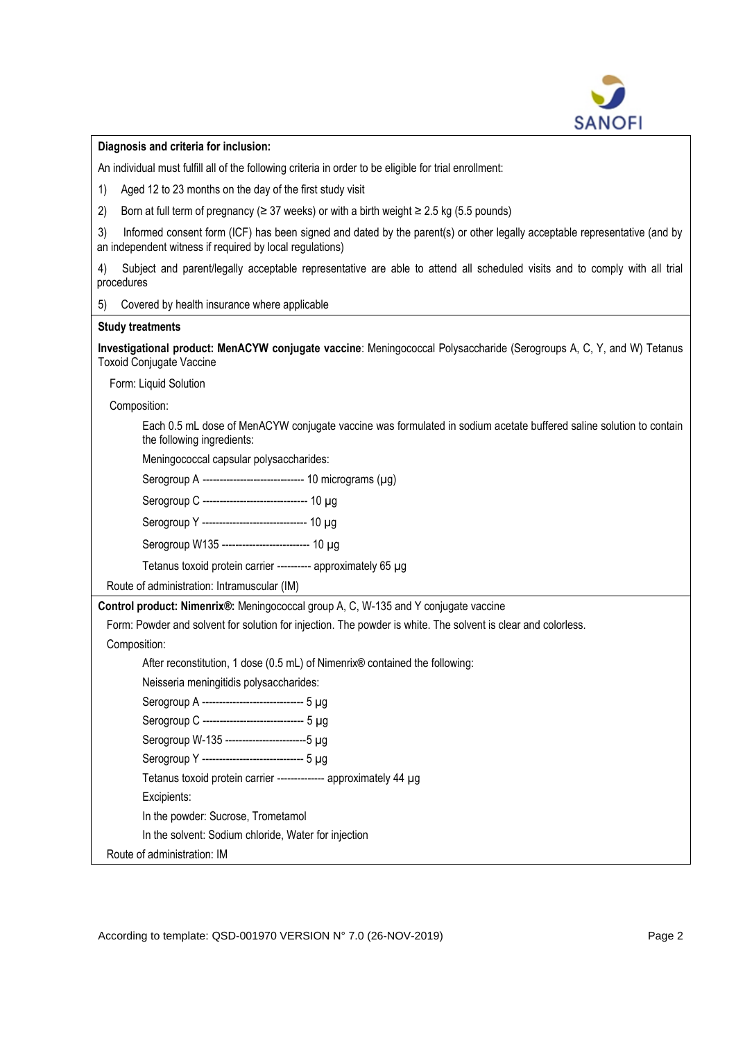

**Diagnosis and criteria for inclusion:**

An individual must fulfill all of the following criteria in order to be eligible for trial enrollment:

1) Aged 12 to 23 months on the day of the first study visit

2) Born at full term of pregnancy ( $\geq$  37 weeks) or with a birth weight  $\geq$  2.5 kg (5.5 pounds)

3) Informed consent form (ICF) has been signed and dated by the parent(s) or other legally acceptable representative (and by an independent witness if required by local regulations)

4) Subject and parent/legally acceptable representative are able to attend all scheduled visits and to comply with all trial procedures

5) Covered by health insurance where applicable

#### **Study treatments**

**Investigational product: MenACYW conjugate vaccine**: Meningococcal Polysaccharide (Serogroups A, C, Y, and W) Tetanus Toxoid Conjugate Vaccine

Form: Liquid Solution

Composition:

Each 0.5 mL dose of MenACYW conjugate vaccine was formulated in sodium acetate buffered saline solution to contain the following ingredients:

Meningococcal capsular polysaccharides:

Serogroup A ------------------------------ 10 micrograms (µg)

Serogroup C ------------------------------- 10 µg

Serogroup Y ------------------------------- 10 µg

Serogroup W135 -------------------------- 10 µg

Tetanus toxoid protein carrier ---------- approximately 65 µg

Route of administration: Intramuscular (IM)

**Control product: Nimenrix®:** Meningococcal group A, C, W-135 and Y conjugate vaccine

Form: Powder and solvent for solution for injection. The powder is white. The solvent is clear and colorless.

Composition:

After reconstitution, 1 dose (0.5 mL) of Nimenrix® contained the following:

Neisseria meningitidis polysaccharides:

Serogroup A ------------------------------ 5 µg

Serogroup C ------------------------------ 5 µg

Serogroup W-135 ------------------------5 µg

Serogroup Y ------------------------------ 5 µg

Tetanus toxoid protein carrier -------------- approximately 44 µg

Excipients:

In the powder: Sucrose, Trometamol

In the solvent: Sodium chloride, Water for injection

Route of administration: IM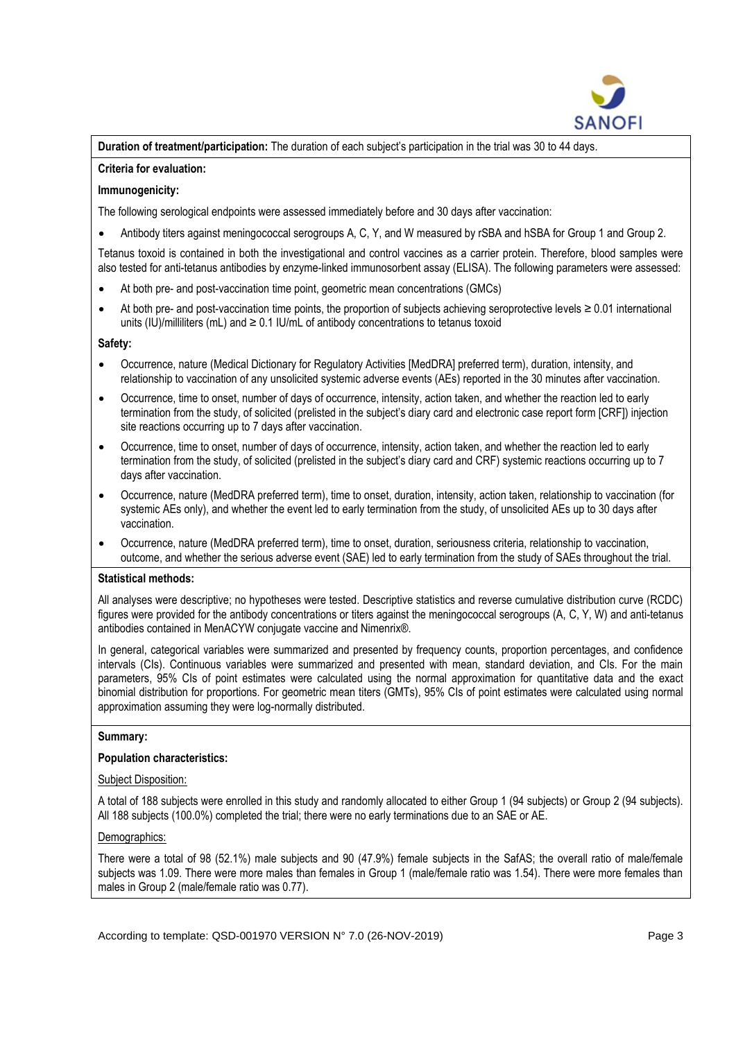

**Duration of treatment/participation:** The duration of each subject's participation in the trial was 30 to 44 days.

## **Criteria for evaluation:**

# **Immunogenicity:**

The following serological endpoints were assessed immediately before and 30 days after vaccination:

• Antibody titers against meningococcal serogroups A, C, Y, and W measured by rSBA and hSBA for Group 1 and Group 2.

Tetanus toxoid is contained in both the investigational and control vaccines as a carrier protein. Therefore, blood samples were also tested for anti-tetanus antibodies by enzyme-linked immunosorbent assay (ELISA). The following parameters were assessed:

- At both pre- and post-vaccination time point, geometric mean concentrations (GMCs)
- At both pre- and post-vaccination time points, the proportion of subjects achieving seroprotective levels ≥ 0.01 international units (IU)/milliliters (mL) and  $\geq 0.1$  IU/mL of antibody concentrations to tetanus toxoid

## **Safety:**

- Occurrence, nature (Medical Dictionary for Regulatory Activities [MedDRA] preferred term), duration, intensity, and relationship to vaccination of any unsolicited systemic adverse events (AEs) reported in the 30 minutes after vaccination.
- Occurrence, time to onset, number of days of occurrence, intensity, action taken, and whether the reaction led to early termination from the study, of solicited (prelisted in the subject's diary card and electronic case report form [CRF]) injection site reactions occurring up to 7 days after vaccination.
- Occurrence, time to onset, number of days of occurrence, intensity, action taken, and whether the reaction led to early termination from the study, of solicited (prelisted in the subject's diary card and CRF) systemic reactions occurring up to 7 days after vaccination.
- Occurrence, nature (MedDRA preferred term), time to onset, duration, intensity, action taken, relationship to vaccination (for systemic AEs only), and whether the event led to early termination from the study, of unsolicited AEs up to 30 days after vaccination.
- Occurrence, nature (MedDRA preferred term), time to onset, duration, seriousness criteria, relationship to vaccination, outcome, and whether the serious adverse event (SAE) led to early termination from the study of SAEs throughout the trial.

### **Statistical methods:**

All analyses were descriptive; no hypotheses were tested. Descriptive statistics and reverse cumulative distribution curve (RCDC) figures were provided for the antibody concentrations or titers against the meningococcal serogroups (A, C, Y, W) and anti-tetanus antibodies contained in MenACYW conjugate vaccine and Nimenrix®.

In general, categorical variables were summarized and presented by frequency counts, proportion percentages, and confidence intervals (CIs). Continuous variables were summarized and presented with mean, standard deviation, and CIs. For the main parameters, 95% CIs of point estimates were calculated using the normal approximation for quantitative data and the exact binomial distribution for proportions. For geometric mean titers (GMTs), 95% CIs of point estimates were calculated using normal approximation assuming they were log-normally distributed.

### **Summary:**

# **Population characteristics:**

### Subject Disposition:

A total of 188 subjects were enrolled in this study and randomly allocated to either Group 1 (94 subjects) or Group 2 (94 subjects). All 188 subjects (100.0%) completed the trial; there were no early terminations due to an SAE or AE.

# Demographics:

There were a total of 98 (52.1%) male subjects and 90 (47.9%) female subjects in the SafAS; the overall ratio of male/female subjects was 1.09. There were more males than females in Group 1 (male/female ratio was 1.54). There were more females than males in Group 2 (male/female ratio was 0.77).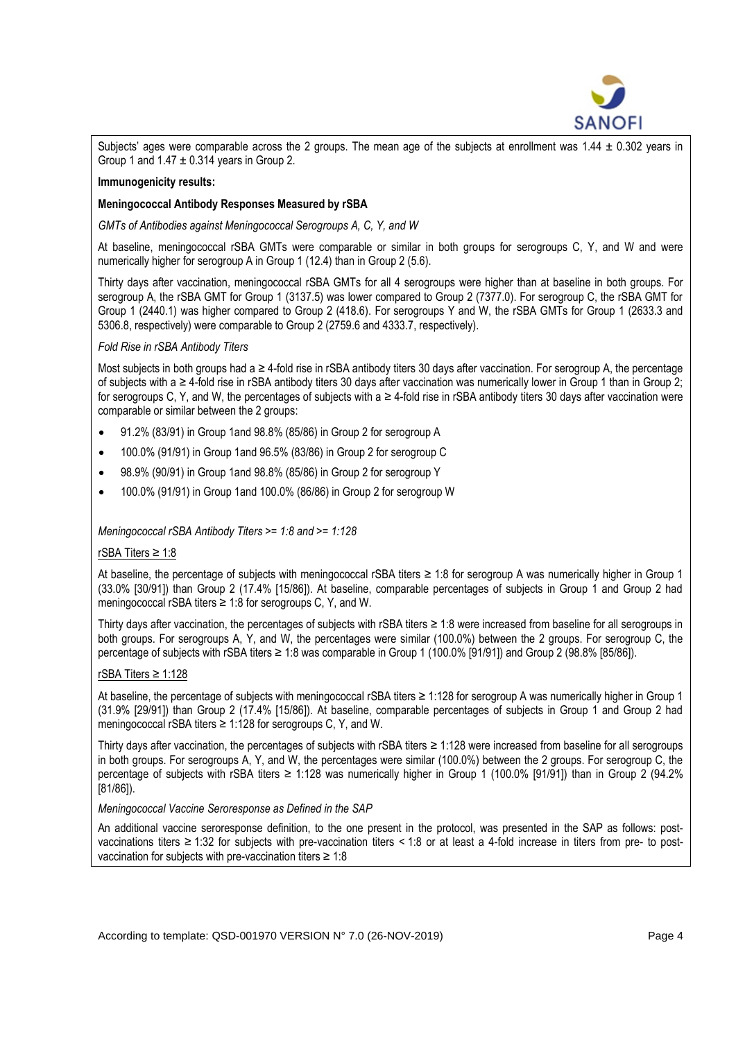

Subjects' ages were comparable across the 2 groups. The mean age of the subjects at enrollment was 1.44  $\pm$  0.302 years in Group 1 and  $1.47 \pm 0.314$  years in Group 2.

# **Immunogenicity results:**

## **Meningococcal Antibody Responses Measured by rSBA**

*GMTs of Antibodies against Meningococcal Serogroups A, C, Y, and W*

At baseline, meningococcal rSBA GMTs were comparable or similar in both groups for serogroups C, Y, and W and were numerically higher for serogroup A in Group 1 (12.4) than in Group 2 (5.6).

Thirty days after vaccination, meningococcal rSBA GMTs for all 4 serogroups were higher than at baseline in both groups. For serogroup A, the rSBA GMT for Group 1 (3137.5) was lower compared to Group 2 (7377.0). For serogroup C, the rSBA GMT for Group 1 (2440.1) was higher compared to Group 2 (418.6). For serogroups Y and W, the rSBA GMTs for Group 1 (2633.3 and 5306.8, respectively) were comparable to Group 2 (2759.6 and 4333.7, respectively).

## *Fold Rise in rSBA Antibody Titers*

Most subjects in both groups had a ≥ 4-fold rise in rSBA antibody titers 30 days after vaccination. For serogroup A, the percentage of subjects with a ≥ 4-fold rise in rSBA antibody titers 30 days after vaccination was numerically lower in Group 1 than in Group 2; for serogroups C, Y, and W, the percentages of subjects with a ≥ 4-fold rise in rSBA antibody titers 30 days after vaccination were comparable or similar between the 2 groups:

- 91.2% (83/91) in Group 1and 98.8% (85/86) in Group 2 for serogroup A
- 100.0% (91/91) in Group 1and 96.5% (83/86) in Group 2 for serogroup C
- 98.9% (90/91) in Group 1and 98.8% (85/86) in Group 2 for serogroup Y
- 100.0% (91/91) in Group 1and 100.0% (86/86) in Group 2 for serogroup W

# *Meningococcal rSBA Antibody Titers >= 1:8 and >= 1:128*

# rSBA Titers ≥ 1:8

At baseline, the percentage of subjects with meningococcal rSBA titers ≥ 1:8 for serogroup A was numerically higher in Group 1 (33.0% [30/91]) than Group 2 (17.4% [15/86]). At baseline, comparable percentages of subjects in Group 1 and Group 2 had meningococcal rSBA titers ≥ 1:8 for serogroups C, Y, and W.

Thirty days after vaccination, the percentages of subjects with rSBA titers ≥ 1:8 were increased from baseline for all serogroups in both groups. For serogroups A, Y, and W, the percentages were similar (100.0%) between the 2 groups. For serogroup C, the percentage of subjects with rSBA titers ≥ 1:8 was comparable in Group 1 (100.0% [91/91]) and Group 2 (98.8% [85/86]).

# rSBA Titers ≥ 1:128

At baseline, the percentage of subjects with meningococcal rSBA titers ≥ 1:128 for serogroup A was numerically higher in Group 1 (31.9% [29/91]) than Group 2 (17.4% [15/86]). At baseline, comparable percentages of subjects in Group 1 and Group 2 had meningococcal rSBA titers ≥ 1:128 for serogroups C, Y, and W.

Thirty days after vaccination, the percentages of subjects with rSBA titers ≥ 1:128 were increased from baseline for all serogroups in both groups. For serogroups A, Y, and W, the percentages were similar (100.0%) between the 2 groups. For serogroup C, the percentage of subjects with rSBA titers ≥ 1:128 was numerically higher in Group 1 (100.0% [91/91]) than in Group 2 (94.2% [81/86]).

### *Meningococcal Vaccine Seroresponse as Defined in the SAP*

An additional vaccine seroresponse definition, to the one present in the protocol, was presented in the SAP as follows: postvaccinations titers ≥ 1:32 for subjects with pre-vaccination titers < 1:8 or at least a 4-fold increase in titers from pre- to postvaccination for subjects with pre-vaccination titers  $\geq 1:8$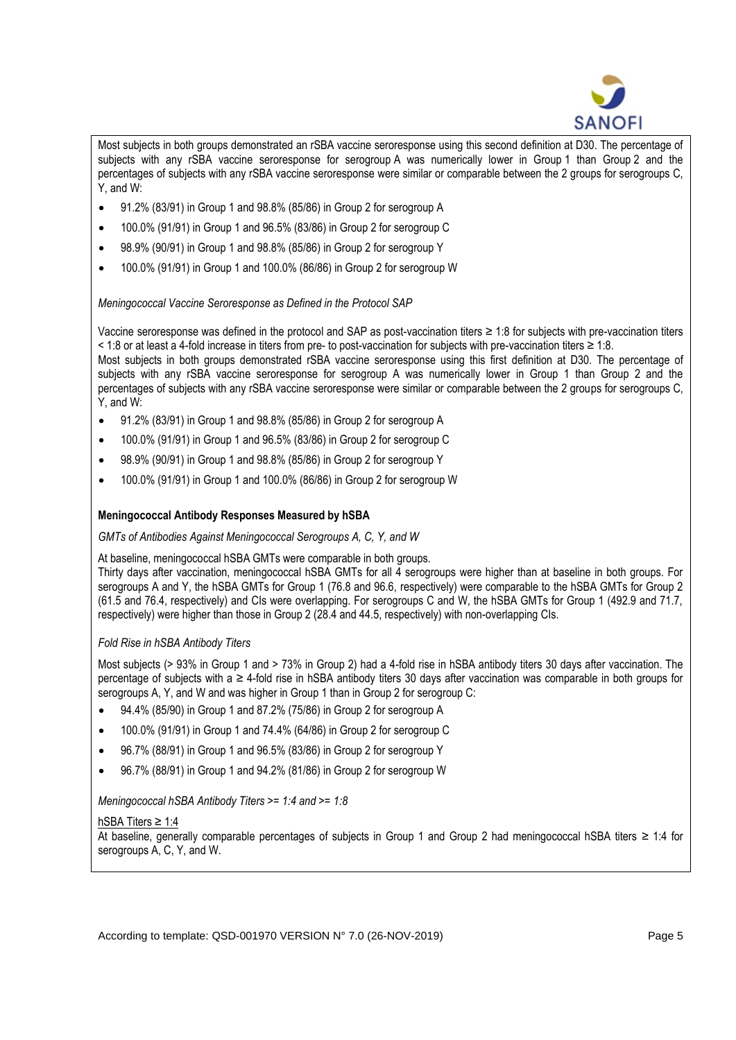

Most subjects in both groups demonstrated an rSBA vaccine seroresponse using this second definition at D30. The percentage of subjects with any rSBA vaccine seroresponse for serogroup A was numerically lower in Group 1 than Group 2 and the percentages of subjects with any rSBA vaccine seroresponse were similar or comparable between the 2 groups for serogroups C, Y, and W:

- 91.2% (83/91) in Group 1 and 98.8% (85/86) in Group 2 for serogroup A
- 100.0% (91/91) in Group 1 and 96.5% (83/86) in Group 2 for serogroup C
- 98.9% (90/91) in Group 1 and 98.8% (85/86) in Group 2 for serogroup Y
- 100.0% (91/91) in Group 1 and 100.0% (86/86) in Group 2 for serogroup W

*Meningococcal Vaccine Seroresponse as Defined in the Protocol SAP*

Vaccine seroresponse was defined in the protocol and SAP as post-vaccination titers ≥ 1:8 for subjects with pre-vaccination titers < 1:8 or at least a 4-fold increase in titers from pre- to post-vaccination for subjects with pre-vaccination titers ≥ 1:8.

Most subjects in both groups demonstrated rSBA vaccine seroresponse using this first definition at D30. The percentage of subjects with any rSBA vaccine seroresponse for serogroup A was numerically lower in Group 1 than Group 2 and the percentages of subjects with any rSBA vaccine seroresponse were similar or comparable between the 2 groups for serogroups C, Y, and W:

- 91.2% (83/91) in Group 1 and 98.8% (85/86) in Group 2 for serogroup A
- 100.0% (91/91) in Group 1 and 96.5% (83/86) in Group 2 for serogroup C
- 98.9% (90/91) in Group 1 and 98.8% (85/86) in Group 2 for serogroup Y
- 100.0% (91/91) in Group 1 and 100.0% (86/86) in Group 2 for serogroup W

# **Meningococcal Antibody Responses Measured by hSBA**

*GMTs of Antibodies Against Meningococcal Serogroups A, C, Y, and W*

At baseline, meningococcal hSBA GMTs were comparable in both groups.

Thirty days after vaccination, meningococcal hSBA GMTs for all 4 serogroups were higher than at baseline in both groups. For serogroups A and Y, the hSBA GMTs for Group 1 (76.8 and 96.6, respectively) were comparable to the hSBA GMTs for Group 2 (61.5 and 76.4, respectively) and CIs were overlapping. For serogroups C and W, the hSBA GMTs for Group 1 (492.9 and 71.7, respectively) were higher than those in Group 2 (28.4 and 44.5, respectively) with non-overlapping CIs.

# *Fold Rise in hSBA Antibody Titers*

Most subjects (> 93% in Group 1 and > 73% in Group 2) had a 4-fold rise in hSBA antibody titers 30 days after vaccination. The percentage of subjects with a ≥ 4-fold rise in hSBA antibody titers 30 days after vaccination was comparable in both groups for serogroups A, Y, and W and was higher in Group 1 than in Group 2 for serogroup C:

- 94.4% (85/90) in Group 1 and 87.2% (75/86) in Group 2 for serogroup A
- 100.0% (91/91) in Group 1 and 74.4% (64/86) in Group 2 for serogroup C
- 96.7% (88/91) in Group 1 and 96.5% (83/86) in Group 2 for serogroup Y
- 96.7% (88/91) in Group 1 and 94.2% (81/86) in Group 2 for serogroup W

*Meningococcal hSBA Antibody Titers >= 1:4 and >= 1:8*

# hSBA Titers ≥ 1:4

At baseline, generally comparable percentages of subjects in Group 1 and Group 2 had meningococcal hSBA titers ≥ 1:4 for serogroups A, C, Y, and W.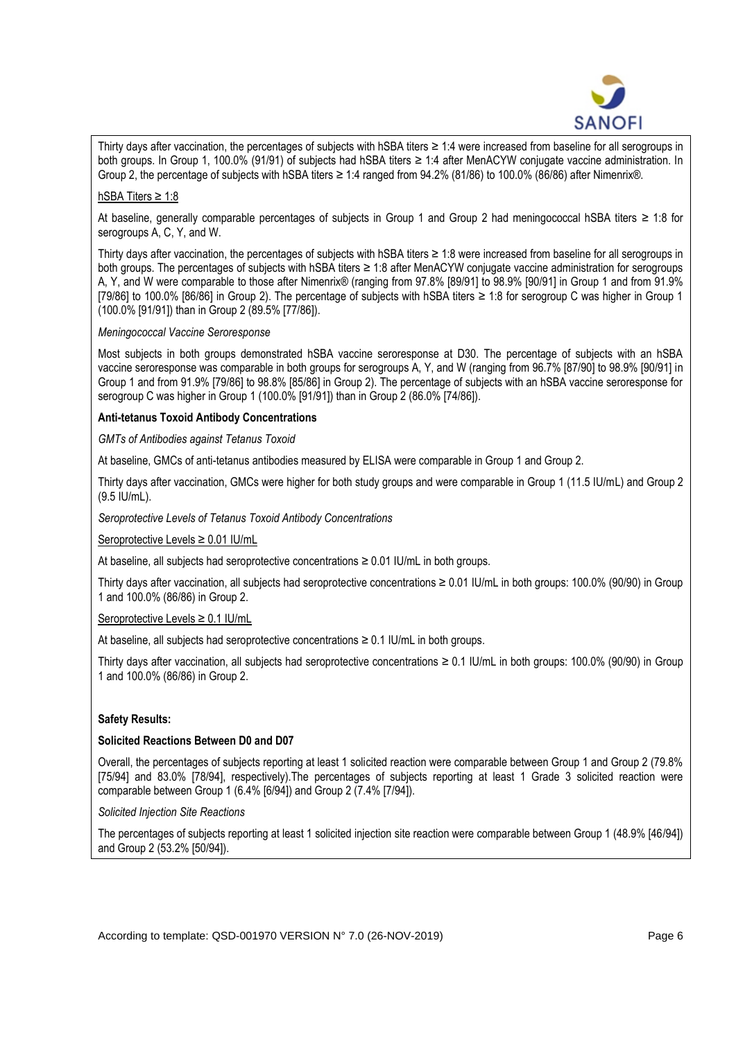

Thirty days after vaccination, the percentages of subjects with hSBA titers ≥ 1:4 were increased from baseline for all serogroups in both groups. In Group 1, 100.0% (91/91) of subjects had hSBA titers ≥ 1:4 after MenACYW conjugate vaccine administration. In Group 2, the percentage of subjects with hSBA titers  $\geq 1.4$  ranged from 94.2% (81/86) to 100.0% (86/86) after Nimenrix®.

# hSBA Titers ≥ 1:8

At baseline, generally comparable percentages of subjects in Group 1 and Group 2 had meningococcal hSBA titers ≥ 1:8 for serogroups A, C, Y, and W.

Thirty days after vaccination, the percentages of subjects with hSBA titers ≥ 1:8 were increased from baseline for all serogroups in both groups. The percentages of subjects with hSBA titers ≥ 1:8 after MenACYW conjugate vaccine administration for serogroups A, Y, and W were comparable to those after Nimenrix® (ranging from 97.8% [89/91] to 98.9% [90/91] in Group 1 and from 91.9% [79/86] to 100.0% [86/86] in Group 2). The percentage of subjects with hSBA titers ≥ 1:8 for serogroup C was higher in Group 1 (100.0% [91/91]) than in Group 2 (89.5% [77/86]).

## *Meningococcal Vaccine Seroresponse*

Most subjects in both groups demonstrated hSBA vaccine seroresponse at D30. The percentage of subjects with an hSBA vaccine seroresponse was comparable in both groups for serogroups A, Y, and W (ranging from 96.7% [87/90] to 98.9% [90/91] in Group 1 and from 91.9% [79/86] to 98.8% [85/86] in Group 2). The percentage of subjects with an hSBA vaccine seroresponse for serogroup C was higher in Group 1 (100.0% [91/91]) than in Group 2 (86.0% [74/86]).

# **Anti-tetanus Toxoid Antibody Concentrations**

## *GMTs of Antibodies against Tetanus Toxoid*

At baseline, GMCs of anti-tetanus antibodies measured by ELISA were comparable in Group 1 and Group 2.

Thirty days after vaccination, GMCs were higher for both study groups and were comparable in Group 1 (11.5 IU/mL) and Group 2 (9.5 IU/mL).

*Seroprotective Levels of Tetanus Toxoid Antibody Concentrations*

Seroprotective Levels ≥ 0.01 IU/mL

At baseline, all subjects had seroprotective concentrations  $\geq 0.01$  IU/mL in both groups.

Thirty days after vaccination, all subjects had seroprotective concentrations ≥ 0.01 IU/mL in both groups: 100.0% (90/90) in Group 1 and 100.0% (86/86) in Group 2.

### Seroprotective Levels ≥ 0.1 IU/mL

At baseline, all subjects had seroprotective concentrations  $\geq 0.1$  IU/mL in both groups.

Thirty days after vaccination, all subjects had seroprotective concentrations ≥ 0.1 IU/mL in both groups: 100.0% (90/90) in Group 1 and 100.0% (86/86) in Group 2.

# **Safety Results:**

# **Solicited Reactions Between D0 and D07**

Overall, the percentages of subjects reporting at least 1 solicited reaction were comparable between Group 1 and Group 2 (79.8% [75/94] and 83.0% [78/94], respectively).The percentages of subjects reporting at least 1 Grade 3 solicited reaction were comparable between Group 1 (6.4% [6/94]) and Group 2 (7.4% [7/94]).

*Solicited Injection Site Reactions*

The percentages of subjects reporting at least 1 solicited injection site reaction were comparable between Group 1 (48.9% [46/94]) and Group 2 (53.2% [50/94]).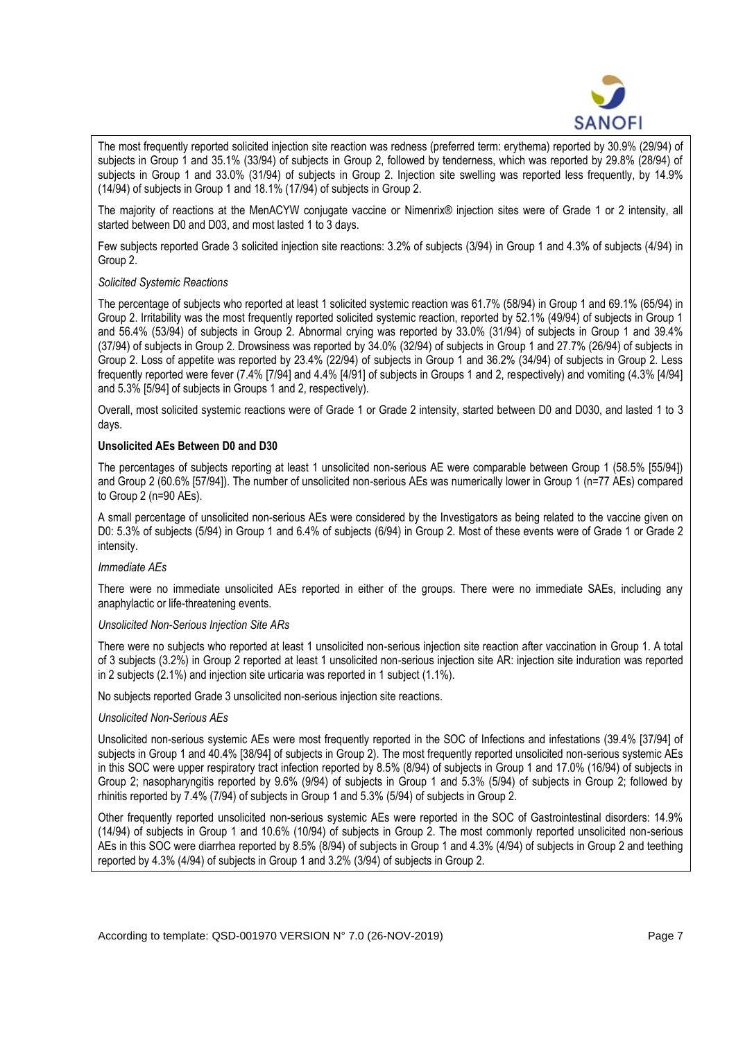

The most frequently reported solicited injection site reaction was redness (preferred term: erythema) reported by 30.9% (29/94) of subjects in Group 1 and 35.1% (33/94) of subjects in Group 2, followed by tenderness, which was reported by 29.8% (28/94) of subjects in Group 1 and 33.0% (31/94) of subjects in Group 2. Injection site swelling was reported less frequently, by 14.9% (14/94) of subjects in Group 1 and 18.1% (17/94) of subjects in Group 2.

The majority of reactions at the MenACYW conjugate vaccine or Nimenrix® injection sites were of Grade 1 or 2 intensity, all started between D0 and D03, and most lasted 1 to 3 days.

Few subjects reported Grade 3 solicited injection site reactions: 3.2% of subjects (3/94) in Group 1 and 4.3% of subjects (4/94) in Group 2.

## *Solicited Systemic Reactions*

The percentage of subjects who reported at least 1 solicited systemic reaction was 61.7% (58/94) in Group 1 and 69.1% (65/94) in Group 2. Irritability was the most frequently reported solicited systemic reaction, reported by 52.1% (49/94) of subjects in Group 1 and 56.4% (53/94) of subjects in Group 2. Abnormal crying was reported by 33.0% (31/94) of subjects in Group 1 and 39.4% (37/94) of subjects in Group 2. Drowsiness was reported by 34.0% (32/94) of subjects in Group 1 and 27.7% (26/94) of subjects in Group 2. Loss of appetite was reported by 23.4% (22/94) of subjects in Group 1 and 36.2% (34/94) of subjects in Group 2. Less frequently reported were fever (7.4% [7/94] and 4.4% [4/91] of subjects in Groups 1 and 2, respectively) and vomiting (4.3% [4/94] and 5.3% [5/94] of subjects in Groups 1 and 2, respectively).

Overall, most solicited systemic reactions were of Grade 1 or Grade 2 intensity, started between D0 and D030, and lasted 1 to 3 days.

# **Unsolicited AEs Between D0 and D30**

The percentages of subjects reporting at least 1 unsolicited non-serious AE were comparable between Group 1 (58.5% [55/94]) and Group 2 (60.6% [57/94]). The number of unsolicited non-serious AEs was numerically lower in Group 1 (n=77 AEs) compared to Group 2 (n=90 AEs).

A small percentage of unsolicited non-serious AEs were considered by the Investigators as being related to the vaccine given on D0: 5.3% of subjects (5/94) in Group 1 and 6.4% of subjects (6/94) in Group 2. Most of these events were of Grade 1 or Grade 2 intensity.

# *Immediate AEs*

There were no immediate unsolicited AEs reported in either of the groups. There were no immediate SAEs, including any anaphylactic or life-threatening events.

### *Unsolicited Non-Serious Injection Site ARs*

There were no subjects who reported at least 1 unsolicited non-serious injection site reaction after vaccination in Group 1. A total of 3 subjects (3.2%) in Group 2 reported at least 1 unsolicited non-serious injection site AR: injection site induration was reported in 2 subjects (2.1%) and injection site urticaria was reported in 1 subject (1.1%).

No subjects reported Grade 3 unsolicited non-serious injection site reactions.

# *Unsolicited Non-Serious AEs*

Unsolicited non-serious systemic AEs were most frequently reported in the SOC of Infections and infestations (39.4% [37/94] of subjects in Group 1 and 40.4% [38/94] of subjects in Group 2). The most frequently reported unsolicited non-serious systemic AEs in this SOC were upper respiratory tract infection reported by 8.5% (8/94) of subjects in Group 1 and 17.0% (16/94) of subjects in Group 2; nasopharyngitis reported by 9.6% (9/94) of subjects in Group 1 and 5.3% (5/94) of subjects in Group 2; followed by rhinitis reported by 7.4% (7/94) of subjects in Group 1 and 5.3% (5/94) of subjects in Group 2.

Other frequently reported unsolicited non-serious systemic AEs were reported in the SOC of Gastrointestinal disorders: 14.9% (14/94) of subjects in Group 1 and 10.6% (10/94) of subjects in Group 2. The most commonly reported unsolicited non-serious AEs in this SOC were diarrhea reported by 8.5% (8/94) of subjects in Group 1 and 4.3% (4/94) of subjects in Group 2 and teething reported by 4.3% (4/94) of subjects in Group 1 and 3.2% (3/94) of subjects in Group 2.